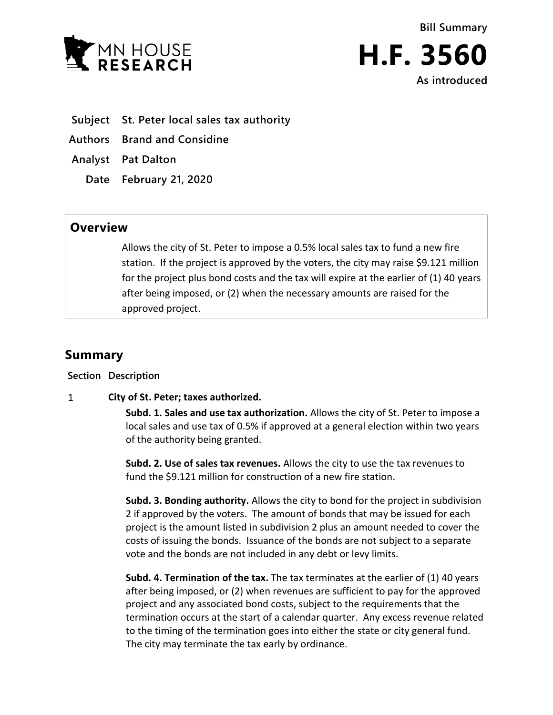



- **Subject St. Peter local sales tax authority**
- **Authors Brand and Considine**
- **Analyst Pat Dalton**
	- **Date February 21, 2020**

## **Overview**

Allows the city of St. Peter to impose a 0.5% local sales tax to fund a new fire station. If the project is approved by the voters, the city may raise \$9.121 million for the project plus bond costs and the tax will expire at the earlier of (1) 40 years after being imposed, or (2) when the necessary amounts are raised for the approved project.

## **Summary**

## **Section Description**

## $\mathbf{1}$ **City of St. Peter; taxes authorized.**

**Subd. 1. Sales and use tax authorization.** Allows the city of St. Peter to impose a local sales and use tax of 0.5% if approved at a general election within two years of the authority being granted.

**Subd. 2. Use of sales tax revenues.** Allows the city to use the tax revenues to fund the \$9.121 million for construction of a new fire station.

**Subd. 3. Bonding authority.** Allows the city to bond for the project in subdivision 2 if approved by the voters. The amount of bonds that may be issued for each project is the amount listed in subdivision 2 plus an amount needed to cover the costs of issuing the bonds. Issuance of the bonds are not subject to a separate vote and the bonds are not included in any debt or levy limits.

**Subd. 4. Termination of the tax.** The tax terminates at the earlier of (1) 40 years after being imposed, or (2) when revenues are sufficient to pay for the approved project and any associated bond costs, subject to the requirements that the termination occurs at the start of a calendar quarter. Any excess revenue related to the timing of the termination goes into either the state or city general fund. The city may terminate the tax early by ordinance.